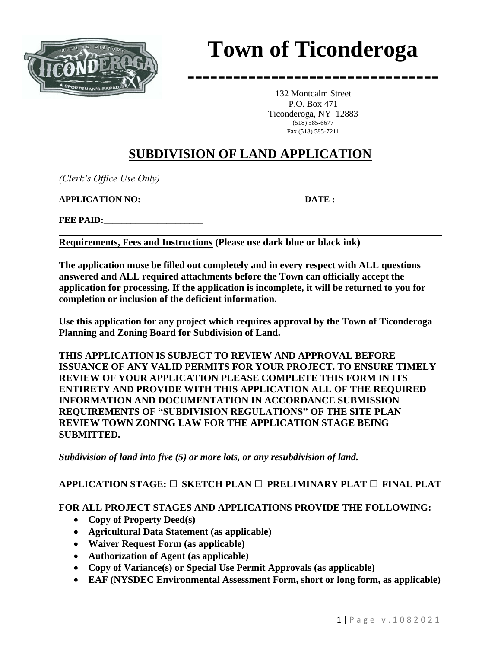

# **Town of Ticonderoga**

**---------------------------------**

132 Montcalm Street P.O. Box 471 Ticonderoga, NY 12883 (518) 585-6677 Fax (518) 585-7211

# **SUBDIVISION OF LAND APPLICATION**

*(Clerk's Office Use Only)*

**APPLICATION NO:**  DATE :

FEE PAID:

**Requirements, Fees and Instructions (Please use dark blue or black ink)**

**The application muse be filled out completely and in every respect with ALL questions answered and ALL required attachments before the Town can officially accept the application for processing. If the application is incomplete, it will be returned to you for completion or inclusion of the deficient information.**

**Use this application for any project which requires approval by the Town of Ticonderoga Planning and Zoning Board for Subdivision of Land.**

**THIS APPLICATION IS SUBJECT TO REVIEW AND APPROVAL BEFORE ISSUANCE OF ANY VALID PERMITS FOR YOUR PROJECT. TO ENSURE TIMELY REVIEW OF YOUR APPLICATION PLEASE COMPLETE THIS FORM IN ITS ENTIRETY AND PROVIDE WITH THIS APPLICATION ALL OF THE REQUIRED INFORMATION AND DOCUMENTATION IN ACCORDANCE SUBMISSION REQUIREMENTS OF "SUBDIVISION REGULATIONS" OF THE SITE PLAN REVIEW TOWN ZONING LAW FOR THE APPLICATION STAGE BEING SUBMITTED.** 

*Subdivision of land into five (5) or more lots, or any resubdivision of land.* 

#### **APPLICATION STAGE: □ SKETCH PLAN □ PRELIMINARY PLAT □ FINAL PLAT**

#### **FOR ALL PROJECT STAGES AND APPLICATIONS PROVIDE THE FOLLOWING:**

- **Copy of Property Deed(s)**
- **Agricultural Data Statement (as applicable)**
- **Waiver Request Form (as applicable)**
- **Authorization of Agent (as applicable)**
- **Copy of Variance(s) or Special Use Permit Approvals (as applicable)**
- **EAF (NYSDEC Environmental Assessment Form, short or long form, as applicable)**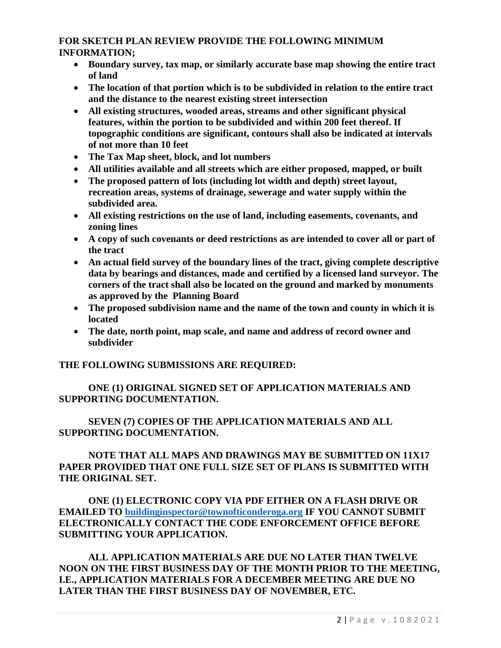#### **FOR SKETCH PLAN REVIEW PROVIDE THE FOLLOWING MINIMUM INFORMATION;**

- **Boundary survey, tax map, or similarly accurate base map showing the entire tract of land**
- **The location of that portion which is to be subdivided in relation to the entire tract and the distance to the nearest existing street intersection**
- **All existing structures, wooded areas, streams and other significant physical features, within the portion to be subdivided and within 200 feet thereof. If topographic conditions are significant, contours shall also be indicated at intervals of not more than 10 feet**
- **The Tax Map sheet, block, and lot numbers**
- **All utilities available and all streets which are either proposed, mapped, or built**
- **The proposed pattern of lots (including lot width and depth) street layout, recreation areas, systems of drainage, sewerage and water supply within the subdivided area.**
- **All existing restrictions on the use of land, including easements, covenants, and zoning lines**
- **A copy of such covenants or deed restrictions as are intended to cover all or part of the tract**
- **An actual field survey of the boundary lines of the tract, giving complete descriptive data by bearings and distances, made and certified by a licensed land surveyor. The corners of the tract shall also be located on the ground and marked by monuments as approved by the Planning Board**
- **The proposed subdivision name and the name of the town and county in which it is located**
- **The date, north point, map scale, and name and address of record owner and subdivider**

#### **THE FOLLOWING SUBMISSIONS ARE REQUIRED:**

### **ONE (1) ORIGINAL SIGNED SET OF APPLICATION MATERIALS AND SUPPORTING DOCUMENTATION.**

#### **SEVEN (7) COPIES OF THE APPLICATION MATERIALS AND ALL SUPPORTING DOCUMENTATION.**

#### **NOTE THAT ALL MAPS AND DRAWINGS MAY BE SUBMITTED ON 11X17 PAPER PROVIDED THAT ONE FULL SIZE SET OF PLANS IS SUBMITTED WITH THE ORIGINAL SET.**

#### **ONE (1) ELECTRONIC COPY VIA PDF EITHER ON A FLASH DRIVE OR EMAILED TO [buildinginspector@townofticonderoga.org](mailto:buildinginspector@townofticonderoga.org) IF YOU CANNOT SUBMIT ELECTRONICALLY CONTACT THE CODE ENFORCEMENT OFFICE BEFORE SUBMITTING YOUR APPLICATION.**

**ALL APPLICATION MATERIALS ARE DUE NO LATER THAN TWELVE NOON ON THE FIRST BUSINESS DAY OF THE MONTH PRIOR TO THE MEETING, I.E., APPLICATION MATERIALS FOR A DECEMBER MEETING ARE DUE NO LATER THAN THE FIRST BUSINESS DAY OF NOVEMBER, ETC.**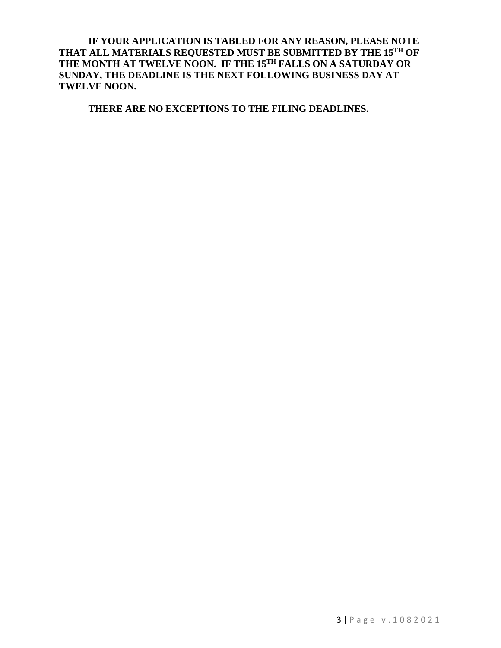**IF YOUR APPLICATION IS TABLED FOR ANY REASON, PLEASE NOTE THAT ALL MATERIALS REQUESTED MUST BE SUBMITTED BY THE 15TH OF THE MONTH AT TWELVE NOON. IF THE 15TH FALLS ON A SATURDAY OR SUNDAY, THE DEADLINE IS THE NEXT FOLLOWING BUSINESS DAY AT TWELVE NOON.**

**THERE ARE NO EXCEPTIONS TO THE FILING DEADLINES.**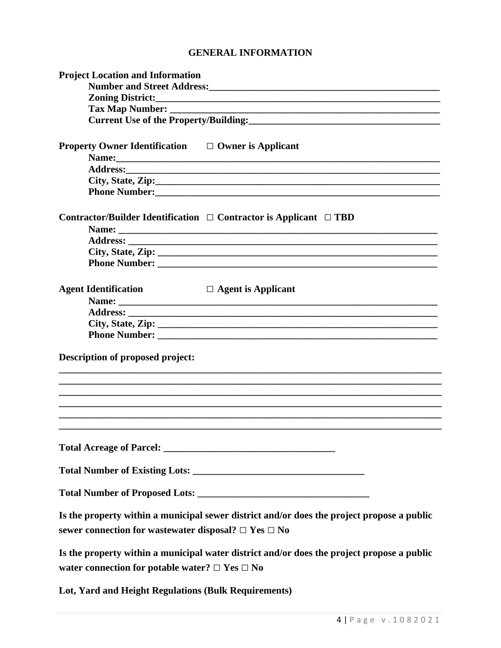## **GENERAL INFORMATION**

| <b>Project Location and Information</b>                        |                                                                                                                                                                                                                                |
|----------------------------------------------------------------|--------------------------------------------------------------------------------------------------------------------------------------------------------------------------------------------------------------------------------|
|                                                                |                                                                                                                                                                                                                                |
|                                                                | Zoning District: New York Contract Contract Contract Contract Contract Contract Contract Contract Contract Contract Contract Contract Contract Contract Contract Contract Contract Contract Contract Contract Contract Contrac |
|                                                                |                                                                                                                                                                                                                                |
|                                                                | Current Use of the Property/Building:<br><u>Current Use of the Property/Building:</u>                                                                                                                                          |
|                                                                |                                                                                                                                                                                                                                |
| <b>Property Owner Identification</b> $\Box$ Owner is Applicant |                                                                                                                                                                                                                                |
|                                                                | Name:                                                                                                                                                                                                                          |
|                                                                |                                                                                                                                                                                                                                |
|                                                                | City, State, Zip:                                                                                                                                                                                                              |
|                                                                |                                                                                                                                                                                                                                |
|                                                                |                                                                                                                                                                                                                                |
|                                                                | Contractor/Builder Identification $\Box$ Contractor is Applicant $\Box$ TBD                                                                                                                                                    |
|                                                                |                                                                                                                                                                                                                                |
|                                                                |                                                                                                                                                                                                                                |
|                                                                |                                                                                                                                                                                                                                |
|                                                                |                                                                                                                                                                                                                                |
| <b>Agent Identification</b>                                    | $\Box$ Agent is Applicant                                                                                                                                                                                                      |
|                                                                |                                                                                                                                                                                                                                |
|                                                                |                                                                                                                                                                                                                                |
|                                                                |                                                                                                                                                                                                                                |
|                                                                |                                                                                                                                                                                                                                |
|                                                                |                                                                                                                                                                                                                                |
| Description of proposed project:                               |                                                                                                                                                                                                                                |
|                                                                |                                                                                                                                                                                                                                |
|                                                                |                                                                                                                                                                                                                                |
|                                                                |                                                                                                                                                                                                                                |
|                                                                |                                                                                                                                                                                                                                |
|                                                                |                                                                                                                                                                                                                                |
|                                                                |                                                                                                                                                                                                                                |
|                                                                |                                                                                                                                                                                                                                |
|                                                                |                                                                                                                                                                                                                                |
|                                                                |                                                                                                                                                                                                                                |
|                                                                | Is the property within a municipal sewer district and/or does the project propose a public                                                                                                                                     |
| sewer connection for wastewater disposal? $\Box$ Yes $\Box$ No |                                                                                                                                                                                                                                |
|                                                                | Is the property within a municipal water district and/or does the project propose a public                                                                                                                                     |
| water connection for potable water? $\Box$ Yes $\Box$ No       |                                                                                                                                                                                                                                |
|                                                                |                                                                                                                                                                                                                                |
| Lot, Yard and Height Regulations (Bulk Requirements)           |                                                                                                                                                                                                                                |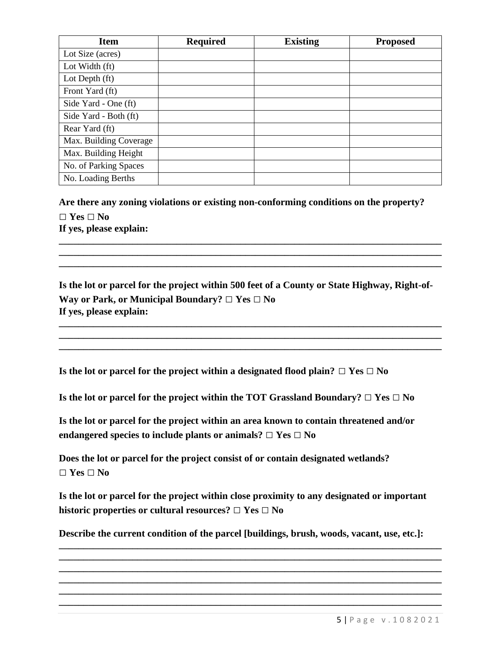| <b>Item</b>            | <b>Required</b> | <b>Existing</b> | <b>Proposed</b> |
|------------------------|-----------------|-----------------|-----------------|
| Lot Size (acres)       |                 |                 |                 |
| Lot Width (ft)         |                 |                 |                 |
| Lot Depth (ft)         |                 |                 |                 |
| Front Yard (ft)        |                 |                 |                 |
| Side Yard - One (ft)   |                 |                 |                 |
| Side Yard - Both (ft)  |                 |                 |                 |
| Rear Yard (ft)         |                 |                 |                 |
| Max. Building Coverage |                 |                 |                 |
| Max. Building Height   |                 |                 |                 |
| No. of Parking Spaces  |                 |                 |                 |
| No. Loading Berths     |                 |                 |                 |

**Are there any zoning violations or existing non-conforming conditions on the property? □ Yes □ No If yes, please explain: \_\_\_\_\_\_\_\_\_\_\_\_\_\_\_\_\_\_\_\_\_\_\_\_\_\_\_\_\_\_\_\_\_\_\_\_\_\_\_\_\_\_\_\_\_\_\_\_\_\_\_\_\_\_\_\_\_\_\_\_\_\_\_\_\_\_\_\_\_\_\_\_\_\_\_\_\_\_**

**Is the lot or parcel for the project within 500 feet of a County or State Highway, Right-of-Way or Park, or Municipal Boundary? □ Yes □ No If yes, please explain:**

**\_\_\_\_\_\_\_\_\_\_\_\_\_\_\_\_\_\_\_\_\_\_\_\_\_\_\_\_\_\_\_\_\_\_\_\_\_\_\_\_\_\_\_\_\_\_\_\_\_\_\_\_\_\_\_\_\_\_\_\_\_\_\_\_\_\_\_\_\_\_\_\_\_\_\_\_\_\_ \_\_\_\_\_\_\_\_\_\_\_\_\_\_\_\_\_\_\_\_\_\_\_\_\_\_\_\_\_\_\_\_\_\_\_\_\_\_\_\_\_\_\_\_\_\_\_\_\_\_\_\_\_\_\_\_\_\_\_\_\_\_\_\_\_\_\_\_\_\_\_\_\_\_\_\_\_\_ \_\_\_\_\_\_\_\_\_\_\_\_\_\_\_\_\_\_\_\_\_\_\_\_\_\_\_\_\_\_\_\_\_\_\_\_\_\_\_\_\_\_\_\_\_\_\_\_\_\_\_\_\_\_\_\_\_\_\_\_\_\_\_\_\_\_\_\_\_\_\_\_\_\_\_\_\_\_**

**\_\_\_\_\_\_\_\_\_\_\_\_\_\_\_\_\_\_\_\_\_\_\_\_\_\_\_\_\_\_\_\_\_\_\_\_\_\_\_\_\_\_\_\_\_\_\_\_\_\_\_\_\_\_\_\_\_\_\_\_\_\_\_\_\_\_\_\_\_\_\_\_\_\_\_\_\_\_ \_\_\_\_\_\_\_\_\_\_\_\_\_\_\_\_\_\_\_\_\_\_\_\_\_\_\_\_\_\_\_\_\_\_\_\_\_\_\_\_\_\_\_\_\_\_\_\_\_\_\_\_\_\_\_\_\_\_\_\_\_\_\_\_\_\_\_\_\_\_\_\_\_\_\_\_\_\_**

**Is the lot or parcel for the project within a designated flood plain? □ Yes □ No** 

**Is the lot or parcel for the project within the TOT Grassland Boundary? □ Yes □ No** 

**Is the lot or parcel for the project within an area known to contain threatened and/or endangered species to include plants or animals? □ Yes □ No**

**Does the lot or parcel for the project consist of or contain designated wetlands? □ Yes □ No**

**Is the lot or parcel for the project within close proximity to any designated or important historic properties or cultural resources? □ Yes □ No**

**Describe the current condition of the parcel [buildings, brush, woods, vacant, use, etc.]:**

**\_\_\_\_\_\_\_\_\_\_\_\_\_\_\_\_\_\_\_\_\_\_\_\_\_\_\_\_\_\_\_\_\_\_\_\_\_\_\_\_\_\_\_\_\_\_\_\_\_\_\_\_\_\_\_\_\_\_\_\_\_\_\_\_\_\_\_\_\_\_\_\_\_\_\_\_\_\_ \_\_\_\_\_\_\_\_\_\_\_\_\_\_\_\_\_\_\_\_\_\_\_\_\_\_\_\_\_\_\_\_\_\_\_\_\_\_\_\_\_\_\_\_\_\_\_\_\_\_\_\_\_\_\_\_\_\_\_\_\_\_\_\_\_\_\_\_\_\_\_\_\_\_\_\_\_\_ \_\_\_\_\_\_\_\_\_\_\_\_\_\_\_\_\_\_\_\_\_\_\_\_\_\_\_\_\_\_\_\_\_\_\_\_\_\_\_\_\_\_\_\_\_\_\_\_\_\_\_\_\_\_\_\_\_\_\_\_\_\_\_\_\_\_\_\_\_\_\_\_\_\_\_\_\_\_ \_\_\_\_\_\_\_\_\_\_\_\_\_\_\_\_\_\_\_\_\_\_\_\_\_\_\_\_\_\_\_\_\_\_\_\_\_\_\_\_\_\_\_\_\_\_\_\_\_\_\_\_\_\_\_\_\_\_\_\_\_\_\_\_\_\_\_\_\_\_\_\_\_\_\_\_\_\_ \_\_\_\_\_\_\_\_\_\_\_\_\_\_\_\_\_\_\_\_\_\_\_\_\_\_\_\_\_\_\_\_\_\_\_\_\_\_\_\_\_\_\_\_\_\_\_\_\_\_\_\_\_\_\_\_\_\_\_\_\_\_\_\_\_\_\_\_\_\_\_\_\_\_\_\_\_\_ \_\_\_\_\_\_\_\_\_\_\_\_\_\_\_\_\_\_\_\_\_\_\_\_\_\_\_\_\_\_\_\_\_\_\_\_\_\_\_\_\_\_\_\_\_\_\_\_\_\_\_\_\_\_\_\_\_\_\_\_\_\_\_\_\_\_\_\_\_\_\_\_\_\_\_\_\_\_**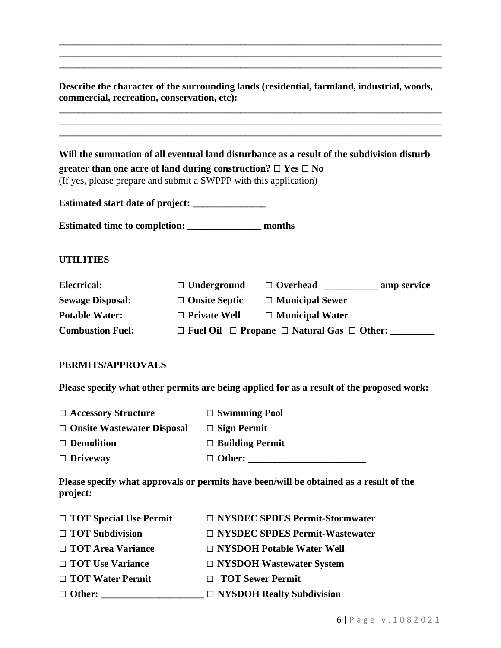**Describe the character of the surrounding lands (residential, farmland, industrial, woods, commercial, recreation, conservation, etc):**

**\_\_\_\_\_\_\_\_\_\_\_\_\_\_\_\_\_\_\_\_\_\_\_\_\_\_\_\_\_\_\_\_\_\_\_\_\_\_\_\_\_\_\_\_\_\_\_\_\_\_\_\_\_\_\_\_\_\_\_\_\_\_\_\_\_\_\_\_\_\_\_\_\_\_\_\_\_\_**

**\_\_\_\_\_\_\_\_\_\_\_\_\_\_\_\_\_\_\_\_\_\_\_\_\_\_\_\_\_\_\_\_\_\_\_\_\_\_\_\_\_\_\_\_\_\_\_\_\_\_\_\_\_\_\_\_\_\_\_\_\_\_\_\_\_\_\_\_\_\_\_\_\_\_\_\_\_\_ \_\_\_\_\_\_\_\_\_\_\_\_\_\_\_\_\_\_\_\_\_\_\_\_\_\_\_\_\_\_\_\_\_\_\_\_\_\_\_\_\_\_\_\_\_\_\_\_\_\_\_\_\_\_\_\_\_\_\_\_\_\_\_\_\_\_\_\_\_\_\_\_\_\_\_\_\_\_**

|                         | greater than one acre of land during construction? $\Box$ Yes $\Box$ No<br>(If yes, please prepare and submit a SWPPP with this application) | Will the summation of all eventual land disturbance as a result of the subdivision disturb |  |
|-------------------------|----------------------------------------------------------------------------------------------------------------------------------------------|--------------------------------------------------------------------------------------------|--|
|                         | Estimated start date of project: _______________                                                                                             |                                                                                            |  |
|                         | Estimated time to completion: ___________________ months                                                                                     |                                                                                            |  |
| <b>UTILITIES</b>        |                                                                                                                                              |                                                                                            |  |
| Electrical:             | $\Box$ Underground                                                                                                                           |                                                                                            |  |
| <b>Sewage Disposal:</b> | $\Box$ Onsite Septic                                                                                                                         | $\Box$ Municipal Sewer                                                                     |  |
| <b>Potable Water:</b>   | $\Box$ Private Well                                                                                                                          | $\Box$ Municipal Water                                                                     |  |
| <b>Combustion Fuel:</b> |                                                                                                                                              | $\Box$ Fuel Oil $\Box$ Propane $\Box$ Natural Gas $\Box$ Other:                            |  |

**Please specify what other permits are being applied for as a result of the proposed work:**

| $\Box$ Accessory Structure        | $\Box$ Swimming Pool   |
|-----------------------------------|------------------------|
| $\Box$ Onsite Wastewater Disposal | $\Box$ Sign Permit     |
| $\Box$ Demolition                 | $\Box$ Building Permit |
| $\Box$ Driveway                   | $\Box$ Other:          |

**Please specify what approvals or permits have been/will be obtained as a result of the project:** 

| $\Box$ TOT Special Use Permit | $\Box$ NYSDEC SPDES Permit-Stormwater |
|-------------------------------|---------------------------------------|
| $\Box$ TOT Subdivision        | □ NYSDEC SPDES Permit-Wastewater      |
| $\Box$ TOT Area Variance      | $\Box$ NYSDOH Potable Water Well      |
| □ TOT Use Variance            | $\Box$ NYSDOH Wastewater System       |
| $\Box$ TOT Water Permit       | □ TOT Sewer Permit                    |
| $\Box$ Other:                 | $\Box$ NYSDOH Realty Subdivision      |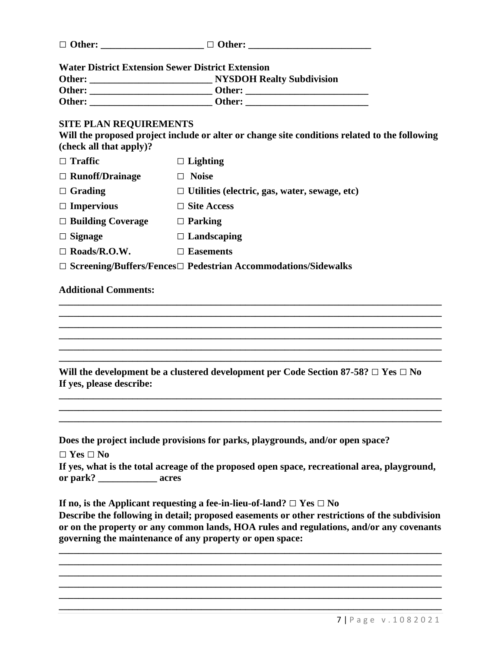| $\Box$ Other: | $\Box$ Other: |  |
|---------------|---------------|--|
|               |               |  |

**Water District Extension Sewer District Extension**

| Other: | <b>NYSDOH Realty Subdivision</b> |
|--------|----------------------------------|
| Other: | Other:                           |
| Other: | Other:                           |

#### **SITE PLAN REQUIREMENTS**

**Will the proposed project include or alter or change site conditions related to the following (check all that apply)?**

| $\Box$ Traffic           | $\Box$ Lighting                                                            |
|--------------------------|----------------------------------------------------------------------------|
| $\Box$ Runoff/Drainage   | <b>Noise</b>                                                               |
| $\Box$ Grading           | $\Box$ Utilities (electric, gas, water, sewage, etc)                       |
| $\Box$ Impervious        | $\Box$ Site Access                                                         |
| $\Box$ Building Coverage | $\Box$ Parking                                                             |
| $\Box$ Signage           | $\Box$ Landscaping                                                         |
| $\Box$ Roads/R.O.W.      | <b>Easements</b>                                                           |
|                          | $\Box$ Screening/Buffers/Fences $\Box$ Pedestrian Accommodations/Sidewalks |

#### **Additional Comments:**

**\_\_\_\_\_\_\_\_\_\_\_\_\_\_\_\_\_\_\_\_\_\_\_\_\_\_\_\_\_\_\_\_\_\_\_\_\_\_\_\_\_\_\_\_\_\_\_\_\_\_\_\_\_\_\_\_\_\_\_\_\_\_\_\_\_\_\_\_\_\_\_\_\_\_\_\_\_\_ Will the development be a clustered development per Code Section 87-58? □ Yes □ No If yes, please describe:**

**\_\_\_\_\_\_\_\_\_\_\_\_\_\_\_\_\_\_\_\_\_\_\_\_\_\_\_\_\_\_\_\_\_\_\_\_\_\_\_\_\_\_\_\_\_\_\_\_\_\_\_\_\_\_\_\_\_\_\_\_\_\_\_\_\_\_\_\_\_\_\_\_\_\_\_\_\_\_ \_\_\_\_\_\_\_\_\_\_\_\_\_\_\_\_\_\_\_\_\_\_\_\_\_\_\_\_\_\_\_\_\_\_\_\_\_\_\_\_\_\_\_\_\_\_\_\_\_\_\_\_\_\_\_\_\_\_\_\_\_\_\_\_\_\_\_\_\_\_\_\_\_\_\_\_\_\_**

**\_\_\_\_\_\_\_\_\_\_\_\_\_\_\_\_\_\_\_\_\_\_\_\_\_\_\_\_\_\_\_\_\_\_\_\_\_\_\_\_\_\_\_\_\_\_\_\_\_\_\_\_\_\_\_\_\_\_\_\_\_\_\_\_\_\_\_\_\_\_\_\_\_\_\_\_\_\_ \_\_\_\_\_\_\_\_\_\_\_\_\_\_\_\_\_\_\_\_\_\_\_\_\_\_\_\_\_\_\_\_\_\_\_\_\_\_\_\_\_\_\_\_\_\_\_\_\_\_\_\_\_\_\_\_\_\_\_\_\_\_\_\_\_\_\_\_\_\_\_\_\_\_\_\_\_\_ \_\_\_\_\_\_\_\_\_\_\_\_\_\_\_\_\_\_\_\_\_\_\_\_\_\_\_\_\_\_\_\_\_\_\_\_\_\_\_\_\_\_\_\_\_\_\_\_\_\_\_\_\_\_\_\_\_\_\_\_\_\_\_\_\_\_\_\_\_\_\_\_\_\_\_\_\_\_ \_\_\_\_\_\_\_\_\_\_\_\_\_\_\_\_\_\_\_\_\_\_\_\_\_\_\_\_\_\_\_\_\_\_\_\_\_\_\_\_\_\_\_\_\_\_\_\_\_\_\_\_\_\_\_\_\_\_\_\_\_\_\_\_\_\_\_\_\_\_\_\_\_\_\_\_\_\_ \_\_\_\_\_\_\_\_\_\_\_\_\_\_\_\_\_\_\_\_\_\_\_\_\_\_\_\_\_\_\_\_\_\_\_\_\_\_\_\_\_\_\_\_\_\_\_\_\_\_\_\_\_\_\_\_\_\_\_\_\_\_\_\_\_\_\_\_\_\_\_\_\_\_\_\_\_\_**

**Does the project include provisions for parks, playgrounds, and/or open space?**

**□ Yes □ No** 

|          | If yes, what is the total acreage of the proposed open space, recreational area, playground, |
|----------|----------------------------------------------------------------------------------------------|
| or park? | acres                                                                                        |

**If no, is the Applicant requesting a fee-in-lieu-of-land? □ Yes □ No**

**Describe the following in detail; proposed easements or other restrictions of the subdivision or on the property or any common lands, HOA rules and regulations, and/or any covenants governing the maintenance of any property or open space:**

**\_\_\_\_\_\_\_\_\_\_\_\_\_\_\_\_\_\_\_\_\_\_\_\_\_\_\_\_\_\_\_\_\_\_\_\_\_\_\_\_\_\_\_\_\_\_\_\_\_\_\_\_\_\_\_\_\_\_\_\_\_\_\_\_\_\_\_\_\_\_\_\_\_\_\_\_\_\_ \_\_\_\_\_\_\_\_\_\_\_\_\_\_\_\_\_\_\_\_\_\_\_\_\_\_\_\_\_\_\_\_\_\_\_\_\_\_\_\_\_\_\_\_\_\_\_\_\_\_\_\_\_\_\_\_\_\_\_\_\_\_\_\_\_\_\_\_\_\_\_\_\_\_\_\_\_\_**

**\_\_\_\_\_\_\_\_\_\_\_\_\_\_\_\_\_\_\_\_\_\_\_\_\_\_\_\_\_\_\_\_\_\_\_\_\_\_\_\_\_\_\_\_\_\_\_\_\_\_\_\_\_\_\_\_\_\_\_\_\_\_\_\_\_\_\_\_\_\_\_\_\_\_\_\_\_\_**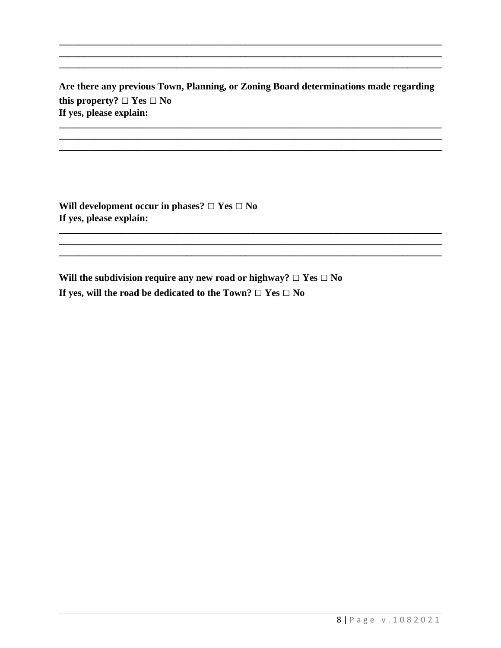Are there any previous Town, Planning, or Zoning Board determinations made regarding this property?  $\Box$  Yes  $\Box$  No If yes, please explain:

Will development occur in phases?  $\Box$  Yes  $\Box$  No If yes, please explain:

Will the subdivision require any new road or highway?  $\Box$  Yes  $\Box$  No If yes, will the road be dedicated to the Town?  $\Box$  Yes  $\Box$  No